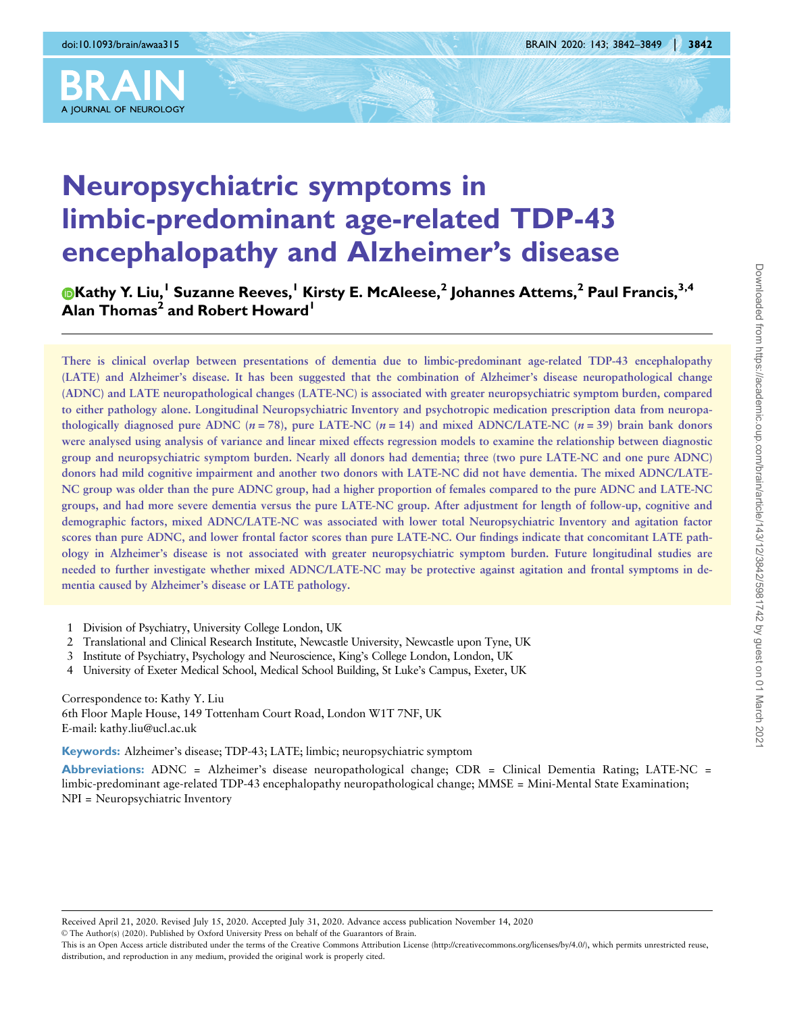

# Neuropsychiatric symptoms in limbic-predominant age-related TDP-43 encephalopathy and Alzheimer's disease

**OKathy Y. Liu,<sup>1</sup> Suzanne Reeves,<sup>1</sup> Kirsty E. McAleese,<sup>2</sup> Johannes Attems,<sup>2</sup> Paul Francis,<sup>3,4</sup>** Alan Thomas<sup>2</sup> and Robert Howard<sup>1</sup>

There is clinical overlap between presentations of dementia due to limbic-predominant age-related TDP-43 encephalopathy (LATE) and Alzheimer's disease. It has been suggested that the combination of Alzheimer's disease neuropathological change (ADNC) and LATE neuropathological changes (LATE-NC) is associated with greater neuropsychiatric symptom burden, compared to either pathology alone. Longitudinal Neuropsychiatric Inventory and psychotropic medication prescription data from neuropathologically diagnosed pure ADNC ( $n = 78$ ), pure LATE-NC ( $n = 14$ ) and mixed ADNC/LATE-NC ( $n = 39$ ) brain bank donors were analysed using analysis of variance and linear mixed effects regression models to examine the relationship between diagnostic group and neuropsychiatric symptom burden. Nearly all donors had dementia; three (two pure LATE-NC and one pure ADNC) donors had mild cognitive impairment and another two donors with LATE-NC did not have dementia. The mixed ADNC/LATE-NC group was older than the pure ADNC group, had a higher proportion of females compared to the pure ADNC and LATE-NC groups, and had more severe dementia versus the pure LATE-NC group. After adjustment for length of follow-up, cognitive and demographic factors, mixed ADNC/LATE-NC was associated with lower total Neuropsychiatric Inventory and agitation factor scores than pure ADNC, and lower frontal factor scores than pure LATE-NC. Our findings indicate that concomitant LATE pathology in Alzheimer's disease is not associated with greater neuropsychiatric symptom burden. Future longitudinal studies are needed to further investigate whether mixed ADNC/LATE-NC may be protective against agitation and frontal symptoms in dementia caused by Alzheimer's disease or LATE pathology.

1 Division of Psychiatry, University College London, UK

- 2 Translational and Clinical Research Institute, Newcastle University, Newcastle upon Tyne, UK
- 3 Institute of Psychiatry, Psychology and Neuroscience, King's College London, London, UK
- 4 University of Exeter Medical School, Medical School Building, St Luke's Campus, Exeter, UK

Correspondence to: Kathy Y. Liu 6th Floor Maple House, 149 Tottenham Court Road, London W1T 7NF, UK E-mail: kathy.liu@ucl.ac.uk

Keywords: Alzheimer's disease; TDP-43; LATE; limbic; neuropsychiatric symptom

Abbreviations: ADNC = Alzheimer's disease neuropathological change; CDR = Clinical Dementia Rating; LATE-NC = limbic-predominant age-related TDP-43 encephalopathy neuropathological change; MMSE = Mini-Mental State Examination; NPI = Neuropsychiatric Inventory

Received April 21, 2020. Revised July 15, 2020. Accepted July 31, 2020. Advance access publication November 14, 2020

V<sup>C</sup> The Author(s) (2020). Published by Oxford University Press on behalf of the Guarantors of Brain.

This is an Open Access article distributed under the terms of the Creative Commons Attribution License (http://creativecommons.org/licenses/by/4.0/), which permits unrestricted reuse, distribution, and reproduction in any medium, provided the original work is properly cited.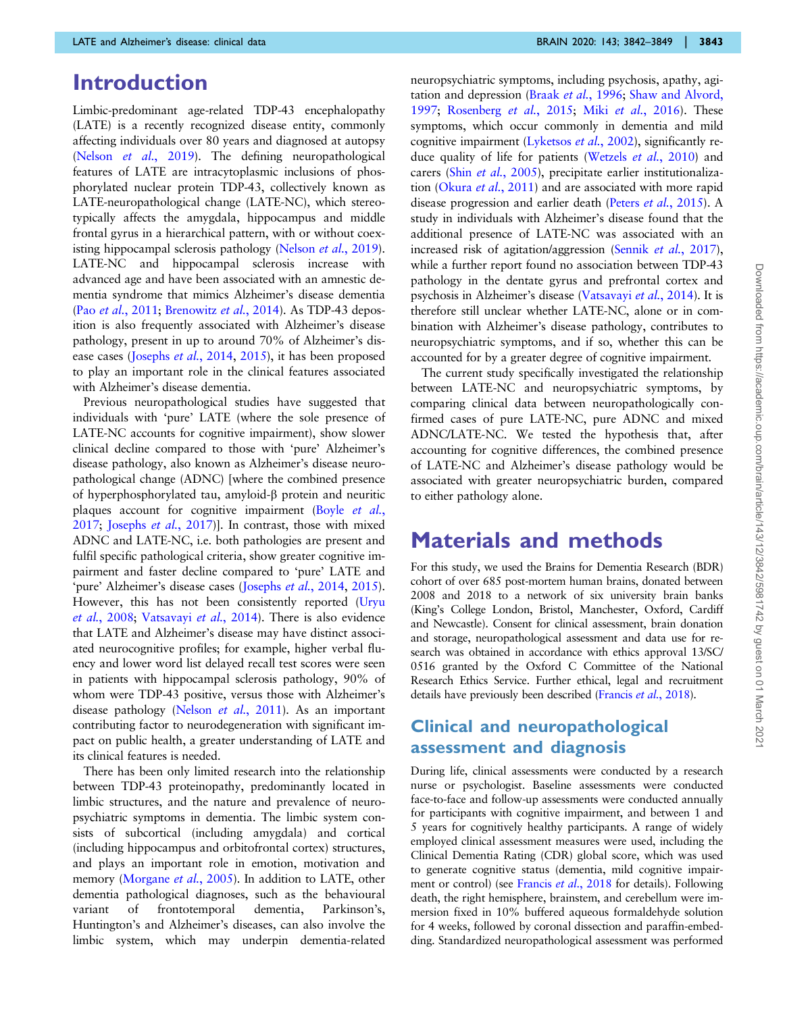### Introduction

Limbic-predominant age-related TDP-43 encephalopathy (LATE) is a recently recognized disease entity, commonly affecting individuals over 80 years and diagnosed at autopsy (Nelson et al.[, 2019](#page-7-0)). The defining neuropathological features of LATE are intracytoplasmic inclusions of phosphorylated nuclear protein TDP-43, collectively known as LATE-neuropathological change (LATE-NC), which stereotypically affects the amygdala, hippocampus and middle frontal gyrus in a hierarchical pattern, with or without coex-isting hippocampal sclerosis pathology ([Nelson](#page-7-0) *et al.*, 2019). LATE-NC and hippocampal sclerosis increase with advanced age and have been associated with an amnestic dementia syndrome that mimics Alzheimer's disease dementia (Pao et al.[, 2011](#page-7-0); [Brenowitz](#page-6-0) et al., 2014). As TDP-43 deposition is also frequently associated with Alzheimer's disease pathology, present in up to around 70% of Alzheimer's disease cases [\(Josephs](#page-6-0) et al., 2014, [2015](#page-6-0)), it has been proposed to play an important role in the clinical features associated with Alzheimer's disease dementia.

Previous neuropathological studies have suggested that individuals with 'pure' LATE (where the sole presence of LATE-NC accounts for cognitive impairment), show slower clinical decline compared to those with 'pure' Alzheimer's disease pathology, also known as Alzheimer's disease neuropathological change (ADNC) [where the combined presence of hyperphosphorylated tau, amyloid-β protein and neuritic plaques account for cognitive impairment (Boyle [et al.](#page-6-0), [2017](#page-6-0); [Josephs](#page-6-0) et al., 2017)]. In contrast, those with mixed ADNC and LATE-NC, i.e. both pathologies are present and fulfil specific pathological criteria, show greater cognitive impairment and faster decline compared to 'pure' LATE and 'pure' Alzheimer's disease cases [\(Josephs](#page-6-0) et al., 2014, [2015](#page-6-0)). However, this has not been consistently reported [\(Uryu](#page-7-0) et al.[, 2008](#page-7-0); [Vatsavayi](#page-7-0) et al., 2014). There is also evidence that LATE and Alzheimer's disease may have distinct associated neurocognitive profiles; for example, higher verbal fluency and lower word list delayed recall test scores were seen in patients with hippocampal sclerosis pathology, 90% of whom were TDP-43 positive, versus those with Alzheimer's disease pathology [\(Nelson](#page-7-0) et al., 2011). As an important contributing factor to neurodegeneration with significant impact on public health, a greater understanding of LATE and its clinical features is needed.

There has been only limited research into the relationship between TDP-43 proteinopathy, predominantly located in limbic structures, and the nature and prevalence of neuropsychiatric symptoms in dementia. The limbic system consists of subcortical (including amygdala) and cortical (including hippocampus and orbitofrontal cortex) structures, and plays an important role in emotion, motivation and memory ([Morgane](#page-7-0) et al., 2005). In addition to LATE, other dementia pathological diagnoses, such as the behavioural variant of frontotemporal dementia, Parkinson's, Huntington's and Alzheimer's diseases, can also involve the limbic system, which may underpin dementia-related

neuropsychiatric symptoms, including psychosis, apathy, agitation and depression (Braak et al.[, 1996;](#page-6-0) [Shaw and Alvord,](#page-7-0) [1997](#page-7-0); [Rosenberg](#page-7-0) et al., 2015; Miki et al.[, 2016\)](#page-7-0). These symptoms, which occur commonly in dementia and mild cognitive impairment [\(Lyketsos](#page-7-0) et al., 2002), significantly re-duce quality of life for patients ([Wetzels](#page-7-0) *et al.*, 2010) and carers (Shin et al.[, 2005](#page-7-0)), precipitate earlier institutionaliza-tion [\(Okura](#page-7-0) et al., 2011) and are associated with more rapid disease progression and earlier death (Peters et al.[, 2015\)](#page-7-0). A study in individuals with Alzheimer's disease found that the additional presence of LATE-NC was associated with an increased risk of agitation/aggression (Sennik et al.[, 2017\)](#page-7-0), while a further report found no association between TDP-43 pathology in the dentate gyrus and prefrontal cortex and psychosis in Alzheimer's disease ([Vatsavayi](#page-7-0) et al., 2014). It is therefore still unclear whether LATE-NC, alone or in combination with Alzheimer's disease pathology, contributes to neuropsychiatric symptoms, and if so, whether this can be accounted for by a greater degree of cognitive impairment.

The current study specifically investigated the relationship between LATE-NC and neuropsychiatric symptoms, by comparing clinical data between neuropathologically confirmed cases of pure LATE-NC, pure ADNC and mixed ADNC/LATE-NC. We tested the hypothesis that, after accounting for cognitive differences, the combined presence of LATE-NC and Alzheimer's disease pathology would be associated with greater neuropsychiatric burden, compared to either pathology alone.

## Materials and methods

For this study, we used the Brains for Dementia Research (BDR) cohort of over 685 post-mortem human brains, donated between 2008 and 2018 to a network of six university brain banks (King's College London, Bristol, Manchester, Oxford, Cardiff and Newcastle). Consent for clinical assessment, brain donation and storage, neuropathological assessment and data use for research was obtained in accordance with ethics approval 13/SC/ 0516 granted by the Oxford C Committee of the National Research Ethics Service. Further ethical, legal and recruitment details have previously been described [\(Francis](#page-6-0) *et al.*, 2018).

### Clinical and neuropathological assessment and diagnosis

During life, clinical assessments were conducted by a research nurse or psychologist. Baseline assessments were conducted face-to-face and follow-up assessments were conducted annually for participants with cognitive impairment, and between 1 and 5 years for cognitively healthy participants. A range of widely employed clinical assessment measures were used, including the Clinical Dementia Rating (CDR) global score, which was used to generate cognitive status (dementia, mild cognitive impair-ment or control) (see [Francis](#page-6-0) *et al.*, 2018 for details). Following death, the right hemisphere, brainstem, and cerebellum were immersion fixed in 10% buffered aqueous formaldehyde solution for 4 weeks, followed by coronal dissection and paraffin-embedding. Standardized neuropathological assessment was performed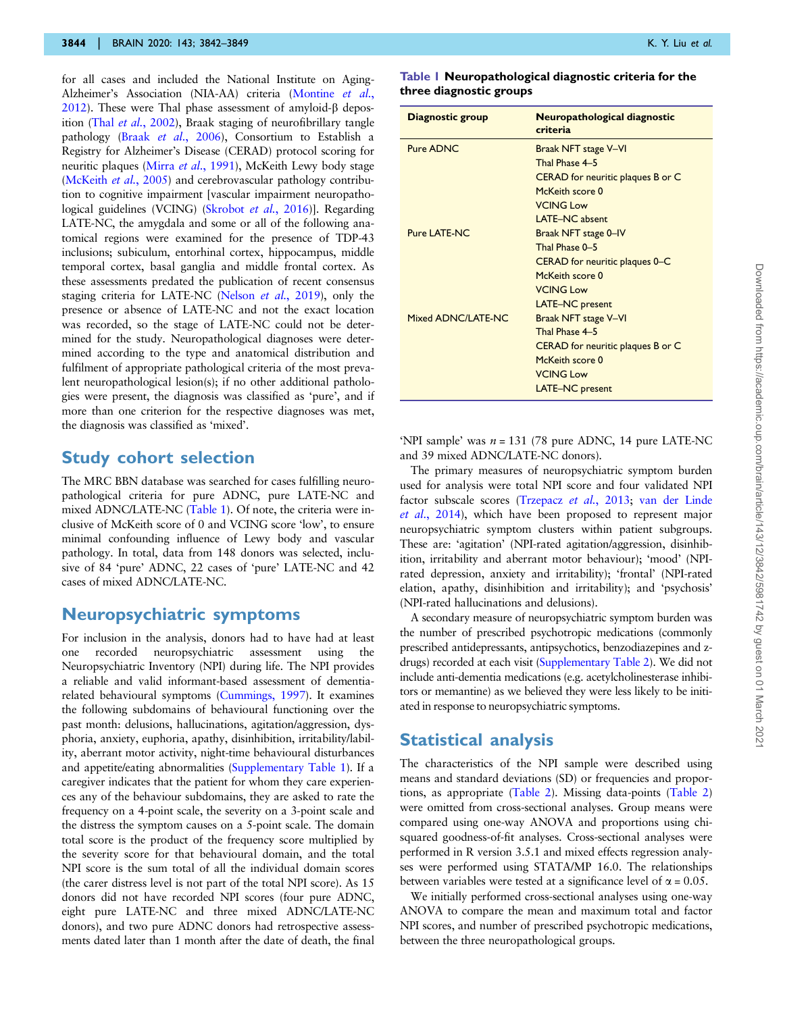for all cases and included the National Institute on Aging-Alzheimer's Association (NIA-AA) criteria [\(Montine](#page-7-0) et al., [2012\)](#page-7-0). These were Thal phase assessment of amyloid- $\beta$  deposition (Thal et al.[, 2002\)](#page-7-0), Braak staging of neurofibrillary tangle pathology (Braak et al.[, 2006](#page-6-0)), Consortium to Establish a Registry for Alzheimer's Disease (CERAD) protocol scoring for neuritic plaques (Mirra et al.[, 1991](#page-7-0)), McKeith Lewy body stage [\(McKeith](#page-7-0) et al., 2005) and cerebrovascular pathology contribution to cognitive impairment [vascular impairment neuropatho-logical guidelines (VCING) ([Skrobot](#page-7-0) et al., 2016)]. Regarding LATE-NC, the amygdala and some or all of the following anatomical regions were examined for the presence of TDP-43 inclusions; subiculum, entorhinal cortex, hippocampus, middle temporal cortex, basal ganglia and middle frontal cortex. As these assessments predated the publication of recent consensus staging criteria for LATE-NC [\(Nelson](#page-7-0) et al., 2019), only the presence or absence of LATE-NC and not the exact location was recorded, so the stage of LATE-NC could not be determined for the study. Neuropathological diagnoses were determined according to the type and anatomical distribution and fulfilment of appropriate pathological criteria of the most prevalent neuropathological lesion(s); if no other additional pathologies were present, the diagnosis was classified as 'pure', and if more than one criterion for the respective diagnoses was met, the diagnosis was classified as 'mixed'.

#### Study cohort selection

The MRC BBN database was searched for cases fulfilling neuropathological criteria for pure ADNC, pure LATE-NC and mixed ADNC/LATE-NC (Table 1). Of note, the criteria were inclusive of McKeith score of 0 and VCING score 'low', to ensure minimal confounding influence of Lewy body and vascular pathology. In total, data from 148 donors was selected, inclusive of 84 'pure' ADNC, 22 cases of 'pure' LATE-NC and 42 cases of mixed ADNC/LATE-NC.

#### Neuropsychiatric symptoms

For inclusion in the analysis, donors had to have had at least one recorded neuropsychiatric assessment using the Neuropsychiatric Inventory (NPI) during life. The NPI provides a reliable and valid informant-based assessment of dementiarelated behavioural symptoms ([Cummings, 1997](#page-6-0)). It examines the following subdomains of behavioural functioning over the past month: delusions, hallucinations, agitation/aggression, dysphoria, anxiety, euphoria, apathy, disinhibition, irritability/lability, aberrant motor activity, night-time behavioural disturbances and appetite/eating abnormalities [\(Supplementary Table 1](https://academic.oup.com/brain/article-lookup/doi/10.1093/brain/awaa315#supplementary-data)). If a caregiver indicates that the patient for whom they care experiences any of the behaviour subdomains, they are asked to rate the frequency on a 4-point scale, the severity on a 3-point scale and the distress the symptom causes on a 5-point scale. The domain total score is the product of the frequency score multiplied by the severity score for that behavioural domain, and the total NPI score is the sum total of all the individual domain scores (the carer distress level is not part of the total NPI score). As 15 donors did not have recorded NPI scores (four pure ADNC, eight pure LATE-NC and three mixed ADNC/LATE-NC donors), and two pure ADNC donors had retrospective assessments dated later than 1 month after the date of death, the final

Table 1 Neuropathological diagnostic criteria for the three diagnostic groups

| Diagnostic group   | Neuropathological diagnostic<br>criteria |
|--------------------|------------------------------------------|
| Pure ADNC          | <b>Braak NFT stage V-VI</b>              |
|                    | Thal Phase 4-5                           |
|                    | CERAD for neuritic plaques B or C        |
|                    | McKeith score 0                          |
|                    | <b>VCING Low</b>                         |
|                    | <b>LATF-NC</b> absent                    |
| Pure LATF-NC       | Braak NFT stage 0-IV                     |
|                    | Thal Phase 0-5                           |
|                    | CERAD for neuritic plagues 0–C           |
|                    | McKeith score 0                          |
|                    | <b>VCING Low</b>                         |
|                    | <b>LATE-NC</b> present                   |
| Mixed ADNC/LATE-NC | <b>Braak NFT stage V-VI</b>              |
|                    | Thal Phase 4-5                           |
|                    | <b>CERAD</b> for neuritic plaques B or C |
|                    | McKeith score 0                          |
|                    | VCING Low                                |
|                    | <b>LATE-NC</b> present                   |

'NPI sample' was  $n = 131$  (78 pure ADNC, 14 pure LATE-NC and 39 mixed ADNC/LATE-NC donors).

The primary measures of neuropsychiatric symptom burden used for analysis were total NPI score and four validated NPI factor subscale scores [\(Trzepacz](#page-7-0) et al., 2013; [van der Linde](#page-7-0) et al.[, 2014](#page-7-0)), which have been proposed to represent major neuropsychiatric symptom clusters within patient subgroups. These are: 'agitation' (NPI-rated agitation/aggression, disinhibition, irritability and aberrant motor behaviour); 'mood' (NPIrated depression, anxiety and irritability); 'frontal' (NPI-rated elation, apathy, disinhibition and irritability); and 'psychosis' (NPI-rated hallucinations and delusions).

A secondary measure of neuropsychiatric symptom burden was the number of prescribed psychotropic medications (commonly prescribed antidepressants, antipsychotics, benzodiazepines and zdrugs) recorded at each visit [\(Supplementary Table 2\)](https://academic.oup.com/brain/article-lookup/doi/10.1093/brain/awaa315#supplementary-data). We did not include anti-dementia medications (e.g. acetylcholinesterase inhibitors or memantine) as we believed they were less likely to be initiated in response to neuropsychiatric symptoms.

### Statistical analysis

The characteristics of the NPI sample were described using means and standard deviations (SD) or frequencies and proportions, as appropriate ([Table 2](#page-3-0)). Missing data-points ([Table 2](#page-3-0)) were omitted from cross-sectional analyses. Group means were compared using one-way ANOVA and proportions using chisquared goodness-of-fit analyses. Cross-sectional analyses were performed in R version 3.5.1 and mixed effects regression analyses were performed using STATA/MP 16.0. The relationships between variables were tested at a significance level of  $\alpha = 0.05$ .

We initially performed cross-sectional analyses using one-way ANOVA to compare the mean and maximum total and factor NPI scores, and number of prescribed psychotropic medications, between the three neuropathological groups.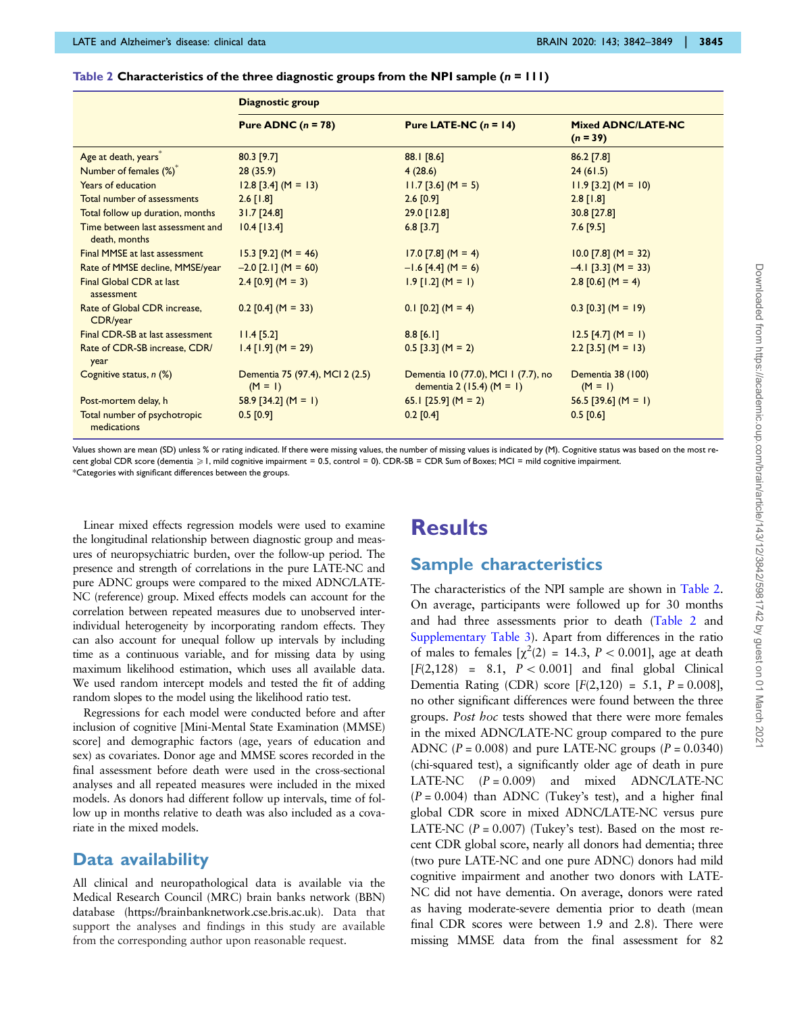#### <span id="page-3-0"></span>Table 2 Characteristics of the three diagnostic groups from the NPI sample  $(n = 111)$

|                                                   | Diagnostic group                             |                                                                      |                                         |
|---------------------------------------------------|----------------------------------------------|----------------------------------------------------------------------|-----------------------------------------|
|                                                   | Pure ADNC $(n = 78)$                         | Pure LATE-NC $(n = 14)$                                              | <b>Mixed ADNC/LATE-NC</b><br>$(n = 39)$ |
| Age at death, years                               | $80.3$ [9.7]                                 | 88.1 [8.6]                                                           | 86.2 [7.8]                              |
| Number of females (%)*                            | 28(35.9)                                     | 4(28.6)                                                              | 24(61.5)                                |
| Years of education                                | $[3.4] (M = 13)$                             | $11.7$ [3.6] (M = 5)                                                 | $11.9$ [3.2] (M = 10)                   |
| Total number of assessments                       | $2.6$ [1.8]                                  | 2.6 [0.9]                                                            | $2.8$ [1.8]                             |
| Total follow up duration, months                  | $31.7$ [24.8]                                | 29.0 [12.8]                                                          | $30.8$ [27.8]                           |
| Time between last assessment and<br>death, months | $10.4$ [13.4]                                | $6.8$ [3.7]                                                          | $7.6$ [9.5]                             |
| Final MMSE at last assessment                     | 15.3 [9.2] (M = 46)                          | $[7.0 [7.8] (M = 4)]$                                                | $10.0$ [7.8] (M = 32)                   |
| Rate of MMSE decline, MMSE/year                   | $-2.0$ [2.1] (M = 60)                        | $-1.6$ [4.4] (M = 6)                                                 | $-4.1$ [3.3] (M = 33)                   |
| Final Global CDR at last<br>assessment            | $2.4$ [0.9] (M = 3)                          | $1.9$ [1.2] (M = 1)                                                  | $2.8$ [0.6] (M = 4)                     |
| Rate of Global CDR increase,<br>CDR/year          | $0.2$ [0.4] (M = 33)                         | $0.1$ [0.2] (M = 4)                                                  | $0.3$ [0.3] (M = 19)                    |
| Final CDR-SB at last assessment                   | $11.4$ [5.2]                                 | $8.8$ [6.1]                                                          | $12.5$ [4.7] (M = 1)                    |
| Rate of CDR-SB increase, CDR/<br>year             | $1.4$ [1.9] (M = 29)                         | $0.5$ [3.3] (M = 2)                                                  | $2.2$ [3.5] (M = 13)                    |
| Cognitive status, n (%)                           | Dementia 75 (97.4), MCI 2 (2.5)<br>$(M = 1)$ | Dementia 10 (77.0), MCI 1 (7.7), no<br>dementia 2 (15.4) ( $M = 1$ ) | Dementia 38 (100)<br>$(M = 1)$          |
| Post-mortem delay, h                              | $58.9$ [34.2] (M = 1)                        | 65.1 [25.9] (M = 2)                                                  | $56.5$ [39.6] (M = 1)                   |
| Total number of psychotropic<br>medications       | $0.5$ [0.9]                                  | $0.2$ [0.4]                                                          | $0.5$ [0.6]                             |

Values shown are mean (SD) unless % or rating indicated. If there were missing values, the number of missing values is indicated by (M). Cognitive status was based on the most recent global CDR score (dementia ≥ I, mild cognitive impairment = 0.5, control = 0). CDR-SB = CDR Sum of Boxes; MCI = mild cognitive impairment. \*Categories with significant differences between the groups.

Linear mixed effects regression models were used to examine the longitudinal relationship between diagnostic group and measures of neuropsychiatric burden, over the follow-up period. The presence and strength of correlations in the pure LATE-NC and pure ADNC groups were compared to the mixed ADNC/LATE-NC (reference) group. Mixed effects models can account for the correlation between repeated measures due to unobserved interindividual heterogeneity by incorporating random effects. They can also account for unequal follow up intervals by including time as a continuous variable, and for missing data by using maximum likelihood estimation, which uses all available data. We used random intercept models and tested the fit of adding random slopes to the model using the likelihood ratio test.

Regressions for each model were conducted before and after inclusion of cognitive [Mini-Mental State Examination (MMSE) score] and demographic factors (age, years of education and sex) as covariates. Donor age and MMSE scores recorded in the final assessment before death were used in the cross-sectional analyses and all repeated measures were included in the mixed models. As donors had different follow up intervals, time of follow up in months relative to death was also included as a covariate in the mixed models.

#### Data availability

All clinical and neuropathological data is available via the Medical Research Council (MRC) brain banks network (BBN) database (<https://brainbanknetwork.cse.bris.ac.uk>). Data that support the analyses and findings in this study are available from the corresponding author upon reasonable request.

### **Results**

### Sample characteristics

The characteristics of the NPI sample are shown in Table 2. On average, participants were followed up for 30 months and had three assessments prior to death (Table 2 and [Supplementary Table 3](https://academic.oup.com/brain/article-lookup/doi/10.1093/brain/awaa315#supplementary-data)). Apart from differences in the ratio of males to females  $[\chi^2(2) = 14.3, P < 0.001]$ , age at death  $[F(2,128) = 8.1, P < 0.001]$  and final global Clinical Dementia Rating (CDR) score  $[F(2,120) = 5.1, P = 0.008]$ , no other significant differences were found between the three groups. Post hoc tests showed that there were more females in the mixed ADNC/LATE-NC group compared to the pure ADNC ( $P = 0.008$ ) and pure LATE-NC groups ( $P = 0.0340$ ) (chi-squared test), a significantly older age of death in pure LATE-NC  $(P = 0.009)$  and mixed ADNC/LATE-NC  $(P = 0.004)$  than ADNC (Tukey's test), and a higher final global CDR score in mixed ADNC/LATE-NC versus pure LATE-NC ( $P = 0.007$ ) (Tukey's test). Based on the most recent CDR global score, nearly all donors had dementia; three (two pure LATE-NC and one pure ADNC) donors had mild cognitive impairment and another two donors with LATE-NC did not have dementia. On average, donors were rated as having moderate-severe dementia prior to death (mean final CDR scores were between 1.9 and 2.8). There were missing MMSE data from the final assessment for 82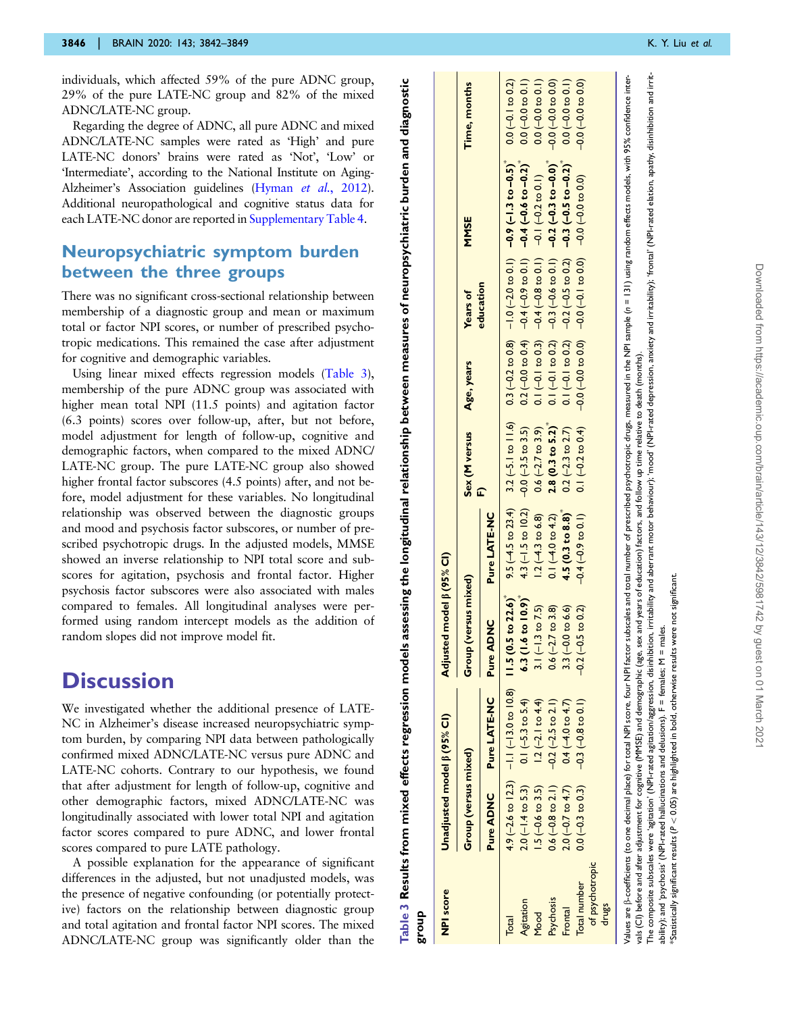individuals, which affected 59% of the pure ADNC group, 29% of the pure LATE-NC group and 82% of the mixed ADNC/LATE-NC group.

Regarding the degree of ADNC, all pure ADNC and mixed ADNC/LATE-NC samples were rated as 'High' and pure LATE-NC donors' brains were rated as 'Not', 'Low' or 'Intermediate', according to the National Institute on Aging-Alzheimer's Association guidelines [\(Hyman](#page-6-0) et al., 2012). Additional neuropathological and cognitive status data for each LATE-NC donor are reported in [Supplementary Table 4](https://academic.oup.com/brain/article-lookup/doi/10.1093/brain/awaa315#supplementary-data).

### Neuropsychiatric symptom burden between the three groups

There was no significant cross-sectional relationship between membership of a diagnostic group and mean or maximum total or factor NPI scores, or number of prescribed psychotropic medications. This remained the case after adjustment for cognitive and demographic variables.

Using linear mixed effects regression models (Table 3), membership of the pure ADNC group was associated with higher mean total NPI (11.5 points) and agitation factor (6.3 points) scores over follow-up, after, but not before, model adjustment for length of follow-up, cognitive and demographic factors, when compared to the mixed ADNC/ LATE-NC group. The pure LATE-NC group also showed higher frontal factor subscores (4.5 points) after, and not before, model adjustment for these variables. No longitudinal relationship was observed between the diagnostic groups and mood and psychosis factor subscores, or number of prescribed psychotropic drugs. In the adjusted models, MMSE showed an inverse relationship to NPI total score and subscores for agitation, psychosis and frontal factor. Higher psychosis factor subscores were also associated with males compared to females. All longitudinal analyses were performed using random intercept models as the addition of random slopes did not improve model fit.

# **Discussion**

We investigated whether the additional presence of LATE-NC in Alzheimer's disease increased neuropsychiatric symptom burden, by comparing NPI data between pathologically confirmed mixed ADNC/LATE-NC versus pure ADNC and LATE-NC cohorts. Contrary to our hypothesis, we found that after adjustment for length of follow-up, cognitive and other demographic factors, mixed ADNC/LATE-NC was longitudinally associated with lower total NPI and agitation factor scores compared to pure ADNC, and lower frontal scores compared to pure LATE pathology.

A possible explanation for the appearance of significant differences in the adjusted, but not unadjusted models, was the presence of negative confounding (or potentially protective) factors on the relationship between diagnostic group and total agitation and frontal factor NPI scores. The mixed ADNC/LATE-NC group was significantly older than the

Table 3 Results from mixed effects regression models assessing the longitudinal relationship between measures of neuropsychiatric burden and diagnostic Table 3 Results from mixed effects regression models assessing the longitudinal relationship between measures of neuropsychiatric burden and diagnostic

| dnous                    |                                   |                                                                                                                                                                              |                                                                                                                                                                                                                                                                                                          |                              |                              |                              |                                                                |                                                                                                                                                                                                                                                                                                                                                                                                              |                              |
|--------------------------|-----------------------------------|------------------------------------------------------------------------------------------------------------------------------------------------------------------------------|----------------------------------------------------------------------------------------------------------------------------------------------------------------------------------------------------------------------------------------------------------------------------------------------------------|------------------------------|------------------------------|------------------------------|----------------------------------------------------------------|--------------------------------------------------------------------------------------------------------------------------------------------------------------------------------------------------------------------------------------------------------------------------------------------------------------------------------------------------------------------------------------------------------------|------------------------------|
| NPI score                | Unadjusted model $\beta$ (95% CI) |                                                                                                                                                                              | Adjusted model $\beta$ (95% CI)                                                                                                                                                                                                                                                                          |                              |                              |                              |                                                                |                                                                                                                                                                                                                                                                                                                                                                                                              |                              |
|                          | Group (versus mixed)              |                                                                                                                                                                              | (versus mixed)<br>Group (                                                                                                                                                                                                                                                                                |                              | Sex (M versus                | Age, years                   | <b>Years of</b>                                                | MMSE                                                                                                                                                                                                                                                                                                                                                                                                         | Time, months                 |
|                          | Pure ADNC                         | Pure LATE-NC                                                                                                                                                                 | Pure ADNC                                                                                                                                                                                                                                                                                                | Pure LATE-NC                 |                              |                              | education                                                      |                                                                                                                                                                                                                                                                                                                                                                                                              |                              |
| Total                    |                                   | 4.9 $(-2.6 \text{ to } 12.3)$ $-1.1$ $(-13.0 \text{ to } 10.8)$                                                                                                              | 11.5(0.5 to 22.6)                                                                                                                                                                                                                                                                                        | $9.5 (-4.5 to 23.4)$         | $3.2(-5.1 to 11.6)$          |                              |                                                                | $0.3(-0.2 \text{ to } 0.8)$ $-1.0(-2.0 \text{ to } 0.1)$ $-0.9(-1.3 \text{ to } -0.5)^n$                                                                                                                                                                                                                                                                                                                     | $0.0(-0.1 to 0.2)$           |
| Agitation                | $2.0$ (-1.4 to 5.3)               | $0.1 (-5.3 to 5.4)$                                                                                                                                                          | 6.3 (1.6 to $10.9$ )                                                                                                                                                                                                                                                                                     | $4.3 (-1.5 to 10.2)$         | $-0.0$ $(-3.5$ to $3.5)$     | $0.2 (-0.0 \text{ to } 0.4)$ | $-0.4(-0.9 \text{ to } 0.1)$                                   | $-0.4 (-0.6 \text{ to } -0.2)^*$                                                                                                                                                                                                                                                                                                                                                                             | $0.0 (-0.0 to 0.1)$          |
| Mood                     | $1.5 (-0.6 \text{ to } 3.5)$      | $1.2(-2.1 to 4.4)$                                                                                                                                                           | 3.1 $(-1.3 \text{ to } 7.5)$                                                                                                                                                                                                                                                                             | $1.2 (-4.3 to 6.8)$          | $0.6(-2.7 \text{ to } 3.9)$  | $0.1 (-0.1 to 0.3)$          | $-0.4(-0.8 \text{ to } 0.1)$                                   | $-0.1(-0.2$ to 0.1)                                                                                                                                                                                                                                                                                                                                                                                          | $0.0 (-0.0 \text{ to } 0.1)$ |
| Psychosis                | $0.6(-0.8$ to $2.1)$              | $-0.2$ $(-2.5$ to $2.1)$                                                                                                                                                     | $0.6 (-2.7 to 3.8)$                                                                                                                                                                                                                                                                                      | $0.1 (-4.0 to 4.2)$          | 2.8(0.3 to 5.2)              | $0.1(-0.1 to 0.2)$           | $-0.3 (-0.6 \text{ to } 0.1)$                                  | $-0.2(-0.3 \text{ to } -0.0)^*$                                                                                                                                                                                                                                                                                                                                                                              | $-0.0$ $(-0.0$ to 0.0        |
| Frontal                  | $2.0(-0.7$ to $4.7)$              | $0.4 (-4.0 to 4.7)$                                                                                                                                                          | $3.3 (-0.0 to 6.6)$                                                                                                                                                                                                                                                                                      | 4.5(0.3 to 8.8)              | $0.2 (-2.3 \text{ to } 2.7)$ |                              | $0.1 (-0.1 \text{ to } 0.2)$ $-0.2 (-0.5 \text{ to } 0.2)$     | $-0.3 (-0.5 to -0.2)^*$                                                                                                                                                                                                                                                                                                                                                                                      | $0.0$ (-0.0 to 0.1)          |
| Total number             | $0.0 (-0.3 \text{ to } 0.3)$      | $-0.3(-0.8 \text{ to } 0.1)$                                                                                                                                                 | $-0.2$ $(-0.5$ to 0.2)                                                                                                                                                                                                                                                                                   | $-0.4(-0.9 \text{ to } 0.1)$ | $0.1 (-0.2 \text{ to } 0.4)$ |                              | $-0.0$ (-0.0 to 0.0) $-0.0$ (-0.1 to 0.0) $-0.0$ (-0.0 to 0.0) |                                                                                                                                                                                                                                                                                                                                                                                                              | $-0.0$ $(-0.0$ to 0.0)       |
| of psychotropic<br>drugs |                                   |                                                                                                                                                                              |                                                                                                                                                                                                                                                                                                          |                              |                              |                              |                                                                |                                                                                                                                                                                                                                                                                                                                                                                                              |                              |
|                          |                                   | The composite subscales were 'agitation' (NPI-rated agitation/aggression, disinhibit<br>ability); and 'psychosis' (NPI-rated hallucinations and delusions). F = females; M = | vals (CI) before and after adjustment for cognitive (MMSE) and demographic (age, sex and years of education) factors, and follow up time relative to death (months).<br>$^8$ Statistically significant results ( $P < 0.05$ ) are highlighted in bold, otherwise results were not significant.<br>nales. |                              |                              |                              |                                                                | ion, irritability and aberrant motor behaviour); 'mood' (NPI-rated depression, anxiety and irritability); 'frontal' (NPI-rated elation, apathy, disinhibition and irrit-<br>Values are $\beta$ -coefficients (to one decimal place) for total Not score, four NPI factor subscales and total number of prescribed psychotropic drugs, measured in the NPI sample (n = 131) using random effects models, with |                              |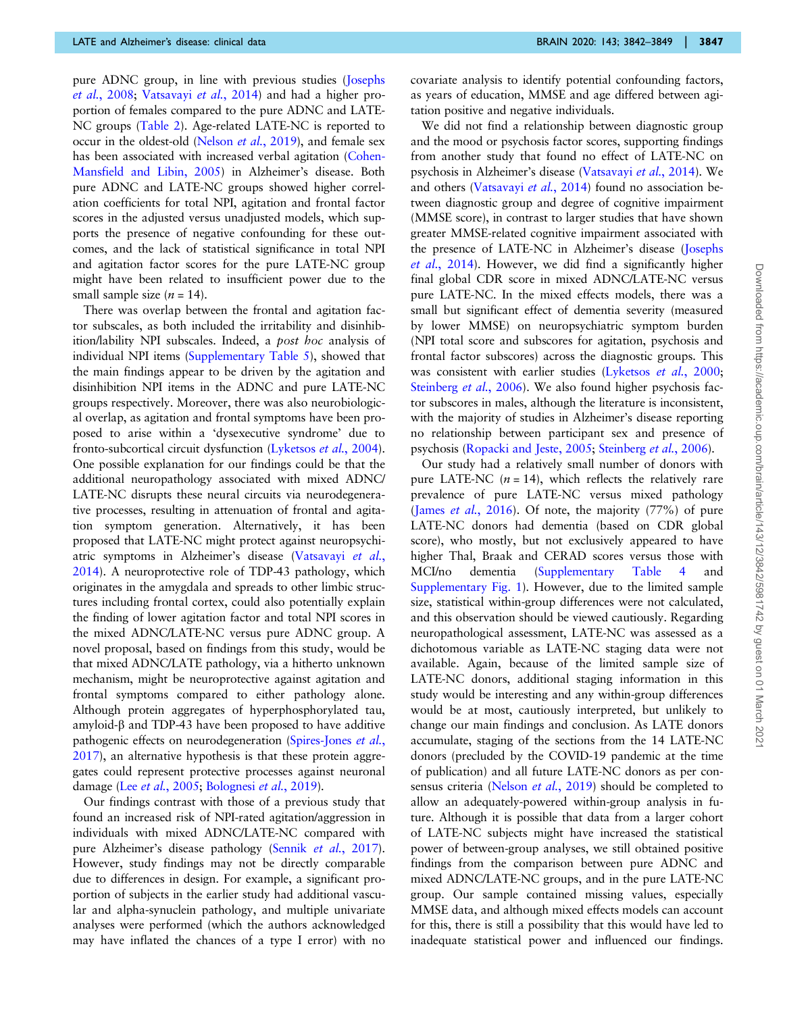pure ADNC group, in line with previous studies [\(Josephs](#page-6-0) et al.[, 2008](#page-6-0); [Vatsavayi](#page-7-0) et al., 2014) and had a higher proportion of females compared to the pure ADNC and LATE-NC groups [\(Table 2\)](#page-3-0). Age-related LATE-NC is reported to occur in the oldest-old ([Nelson](#page-7-0) *et al.*, 2019), and female sex has been associated with increased verbal agitation [\(Cohen-](#page-6-0)[Mansfield and Libin, 2005](#page-6-0)) in Alzheimer's disease. Both pure ADNC and LATE-NC groups showed higher correlation coefficients for total NPI, agitation and frontal factor scores in the adjusted versus unadjusted models, which supports the presence of negative confounding for these outcomes, and the lack of statistical significance in total NPI and agitation factor scores for the pure LATE-NC group might have been related to insufficient power due to the small sample size  $(n = 14)$ .

There was overlap between the frontal and agitation factor subscales, as both included the irritability and disinhibition/lability NPI subscales. Indeed, a post hoc analysis of individual NPI items [\(Supplementary Table 5\)](https://academic.oup.com/brain/article-lookup/doi/10.1093/brain/awaa315#supplementary-data), showed that the main findings appear to be driven by the agitation and disinhibition NPI items in the ADNC and pure LATE-NC groups respectively. Moreover, there was also neurobiological overlap, as agitation and frontal symptoms have been proposed to arise within a 'dysexecutive syndrome' due to fronto-subcortical circuit dysfunction [\(Lyketsos](#page-7-0) et al., 2004). One possible explanation for our findings could be that the additional neuropathology associated with mixed ADNC/ LATE-NC disrupts these neural circuits via neurodegenerative processes, resulting in attenuation of frontal and agitation symptom generation. Alternatively, it has been proposed that LATE-NC might protect against neuropsychiatric symptoms in Alzheimer's disease [\(Vatsavayi](#page-7-0) et al., [2014](#page-7-0)). A neuroprotective role of TDP-43 pathology, which originates in the amygdala and spreads to other limbic structures including frontal cortex, could also potentially explain the finding of lower agitation factor and total NPI scores in the mixed ADNC/LATE-NC versus pure ADNC group. A novel proposal, based on findings from this study, would be that mixed ADNC/LATE pathology, via a hitherto unknown mechanism, might be neuroprotective against agitation and frontal symptoms compared to either pathology alone. Although protein aggregates of hyperphosphorylated tau, amyloid- $\beta$  and TDP-43 have been proposed to have additive pathogenic effects on neurodegeneration [\(Spires-Jones](#page-7-0) et al., [2017](#page-7-0)), an alternative hypothesis is that these protein aggregates could represent protective processes against neuronal damage (Lee et al.[, 2005;](#page-7-0) [Bolognesi](#page-6-0) et al., 2019).

Our findings contrast with those of a previous study that found an increased risk of NPI-rated agitation/aggression in individuals with mixed ADNC/LATE-NC compared with pure Alzheimer's disease pathology (Sennik et al.[, 2017](#page-7-0)). However, study findings may not be directly comparable due to differences in design. For example, a significant proportion of subjects in the earlier study had additional vascular and alpha-synuclein pathology, and multiple univariate analyses were performed (which the authors acknowledged may have inflated the chances of a type I error) with no

covariate analysis to identify potential confounding factors, as years of education, MMSE and age differed between agitation positive and negative individuals.

We did not find a relationship between diagnostic group and the mood or psychosis factor scores, supporting findings from another study that found no effect of LATE-NC on psychosis in Alzheimer's disease ([Vatsavayi](#page-7-0) et al., 2014). We and others ([Vatsavayi](#page-7-0) et al., 2014) found no association between diagnostic group and degree of cognitive impairment (MMSE score), in contrast to larger studies that have shown greater MMSE-related cognitive impairment associated with the presence of LATE-NC in Alzheimer's disease [\(Josephs](#page-6-0) et al.[, 2014\)](#page-6-0). However, we did find a significantly higher final global CDR score in mixed ADNC/LATE-NC versus pure LATE-NC. In the mixed effects models, there was a small but significant effect of dementia severity (measured by lower MMSE) on neuropsychiatric symptom burden (NPI total score and subscores for agitation, psychosis and frontal factor subscores) across the diagnostic groups. This was consistent with earlier studies ([Lyketsos](#page-7-0) et al., 2000; [Steinberg](#page-7-0) *et al.*, 2006). We also found higher psychosis factor subscores in males, although the literature is inconsistent, with the majority of studies in Alzheimer's disease reporting no relationship between participant sex and presence of psychosis ([Ropacki and Jeste, 2005;](#page-7-0) [Steinberg](#page-7-0) et al., 2006).

Our study had a relatively small number of donors with pure LATE-NC  $(n = 14)$ , which reflects the relatively rare prevalence of pure LATE-NC versus mixed pathology (James et al.[, 2016](#page-6-0)). Of note, the majority (77%) of pure LATE-NC donors had dementia (based on CDR global score), who mostly, but not exclusively appeared to have higher Thal, Braak and CERAD scores versus those with MCI/no dementia [\(Supplementary Table 4](https://academic.oup.com/brain/article-lookup/doi/10.1093/brain/awaa315#supplementary-data) and [Supplementary Fig. 1\)](https://academic.oup.com/brain/article-lookup/doi/10.1093/brain/awaa315#supplementary-data). However, due to the limited sample size, statistical within-group differences were not calculated, and this observation should be viewed cautiously. Regarding neuropathological assessment, LATE-NC was assessed as a dichotomous variable as LATE-NC staging data were not available. Again, because of the limited sample size of LATE-NC donors, additional staging information in this study would be interesting and any within-group differences would be at most, cautiously interpreted, but unlikely to change our main findings and conclusion. As LATE donors accumulate, staging of the sections from the 14 LATE-NC donors (precluded by the COVID-19 pandemic at the time of publication) and all future LATE-NC donors as per con-sensus criteria ([Nelson](#page-7-0) et al., 2019) should be completed to allow an adequately-powered within-group analysis in future. Although it is possible that data from a larger cohort of LATE-NC subjects might have increased the statistical power of between-group analyses, we still obtained positive findings from the comparison between pure ADNC and mixed ADNC/LATE-NC groups, and in the pure LATE-NC group. Our sample contained missing values, especially MMSE data, and although mixed effects models can account for this, there is still a possibility that this would have led to inadequate statistical power and influenced our findings.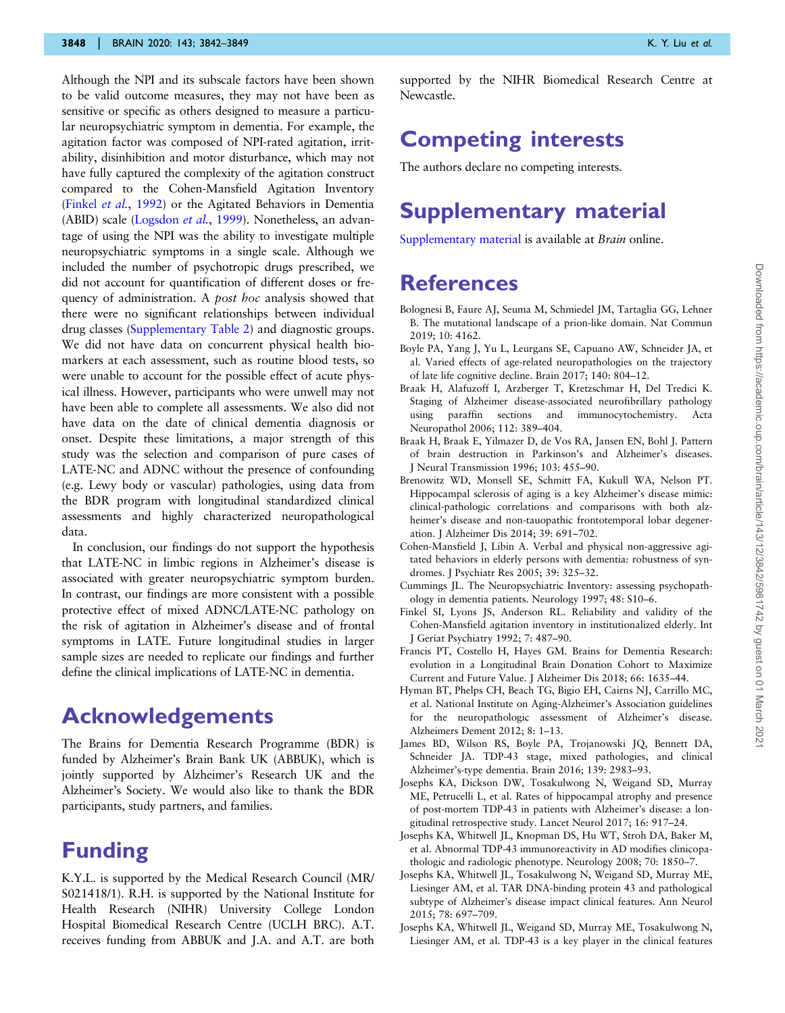<span id="page-6-0"></span>Although the NPI and its subscale factors have been shown to be valid outcome measures, they may not have been as sensitive or specific as others designed to measure a particular neuropsychiatric symptom in dementia. For example, the agitation factor was composed of NPI-rated agitation, irritability, disinhibition and motor disturbance, which may not have fully captured the complexity of the agitation construct compared to the Cohen-Mansfield Agitation Inventory (Finkel et al., 1992) or the Agitated Behaviors in Dementia (ABID) scale [\(Logsdon](#page-7-0) et al., 1999). Nonetheless, an advantage of using the NPI was the ability to investigate multiple neuropsychiatric symptoms in a single scale. Although we included the number of psychotropic drugs prescribed, we did not account for quantification of different doses or frequency of administration. A post hoc analysis showed that there were no significant relationships between individual drug classes ([Supplementary Table 2\)](https://academic.oup.com/brain/article-lookup/doi/10.1093/brain/awaa315#supplementary-data) and diagnostic groups. We did not have data on concurrent physical health biomarkers at each assessment, such as routine blood tests, so were unable to account for the possible effect of acute physical illness. However, participants who were unwell may not have been able to complete all assessments. We also did not have data on the date of clinical dementia diagnosis or onset. Despite these limitations, a major strength of this study was the selection and comparison of pure cases of LATE-NC and ADNC without the presence of confounding (e.g. Lewy body or vascular) pathologies, using data from the BDR program with longitudinal standardized clinical assessments and highly characterized neuropathological data.

In conclusion, our findings do not support the hypothesis that LATE-NC in limbic regions in Alzheimer's disease is associated with greater neuropsychiatric symptom burden. In contrast, our findings are more consistent with a possible protective effect of mixed ADNC/LATE-NC pathology on the risk of agitation in Alzheimer's disease and of frontal symptoms in LATE. Future longitudinal studies in larger sample sizes are needed to replicate our findings and further define the clinical implications of LATE-NC in dementia.

# Acknowledgements

The Brains for Dementia Research Programme (BDR) is funded by Alzheimer's Brain Bank UK (ABBUK), which is jointly supported by Alzheimer's Research UK and the Alzheimer's Society. We would also like to thank the BDR participants, study partners, and families.

# Funding

K.Y.L. is supported by the Medical Research Council (MR/ S021418/1). R.H. is supported by the National Institute for Health Research (NIHR) University College London Hospital Biomedical Research Centre (UCLH BRC). A.T. receives funding from ABBUK and J.A. and A.T. are both

supported by the NIHR Biomedical Research Centre at Newcastle.

# Competing interests

The authors declare no competing interests.

# Supplementary material

[Supplementary material](https://academic.oup.com/brain/article-lookup/doi/10.1093/brain/awaa315#supplementary-data) is available at *Brain* online.

# References

- Bolognesi B, Faure AJ, Seuma M, Schmiedel JM, Tartaglia GG, Lehner B. The mutational landscape of a prion-like domain. Nat Commun 2019; 10: 4162.
- Boyle PA, Yang J, Yu L, Leurgans SE, Capuano AW, Schneider JA, et al. Varied effects of age-related neuropathologies on the trajectory of late life cognitive decline. Brain 2017; 140: 804–12.
- Braak H, Alafuzoff I, Arzberger T, Kretzschmar H, Del Tredici K. Staging of Alzheimer disease-associated neurofibrillary pathology using paraffin sections and immunocytochemistry. Acta Neuropathol 2006; 112: 389–404.
- Braak H, Braak E, Yilmazer D, de Vos RA, Jansen EN, Bohl J. Pattern of brain destruction in Parkinson's and Alzheimer's diseases. J Neural Transmission 1996; 103: 455–90.
- Brenowitz WD, Monsell SE, Schmitt FA, Kukull WA, Nelson PT. Hippocampal sclerosis of aging is a key Alzheimer's disease mimic: clinical-pathologic correlations and comparisons with both alzheimer's disease and non-tauopathic frontotemporal lobar degeneration. J Alzheimer Dis 2014; 39: 691–702.
- Cohen-Mansfield J, Libin A. Verbal and physical non-aggressive agitated behaviors in elderly persons with dementia: robustness of syndromes. J Psychiatr Res 2005; 39: 325–32.
- Cummings JL. The Neuropsychiatric Inventory: assessing psychopathology in dementia patients. Neurology 1997; 48: S10–6.
- Finkel SI, Lyons JS, Anderson RL. Reliability and validity of the Cohen-Mansfield agitation inventory in institutionalized elderly. Int J Geriat Psychiatry 1992; 7: 487–90.
- Francis PT, Costello H, Hayes GM. Brains for Dementia Research: evolution in a Longitudinal Brain Donation Cohort to Maximize Current and Future Value. J Alzheimer Dis 2018; 66: 1635–44.
- Hyman BT, Phelps CH, Beach TG, Bigio EH, Cairns NJ, Carrillo MC, et al. National Institute on Aging-Alzheimer's Association guidelines for the neuropathologic assessment of Alzheimer's disease. Alzheimers Dement 2012; 8: 1–13.
- James BD, Wilson RS, Boyle PA, Trojanowski JQ, Bennett DA, Schneider JA. TDP-43 stage, mixed pathologies, and clinical Alzheimer's-type dementia. Brain 2016; 139: 2983–93.
- Josephs KA, Dickson DW, Tosakulwong N, Weigand SD, Murray ME, Petrucelli L, et al. Rates of hippocampal atrophy and presence of post-mortem TDP-43 in patients with Alzheimer's disease: a longitudinal retrospective study. Lancet Neurol 2017; 16: 917–24.
- Josephs KA, Whitwell JL, Knopman DS, Hu WT, Stroh DA, Baker M, et al. Abnormal TDP-43 immunoreactivity in AD modifies clinicopathologic and radiologic phenotype. Neurology 2008; 70: 1850–7.
- Josephs KA, Whitwell JL, Tosakulwong N, Weigand SD, Murray ME, Liesinger AM, et al. TAR DNA-binding protein 43 and pathological subtype of Alzheimer's disease impact clinical features. Ann Neurol 2015; 78: 697–709.
- Josephs KA, Whitwell JL, Weigand SD, Murray ME, Tosakulwong N, Liesinger AM, et al. TDP-43 is a key player in the clinical features